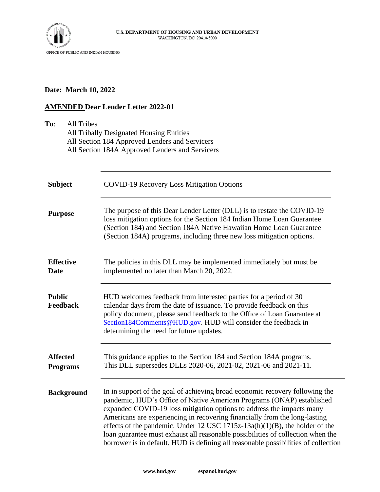

# **Date: March 10, 2022**

# **AMENDED Dear Lender Letter 2022-01**

| To:<br><b>All Tribes</b>           | All Tribally Designated Housing Entities<br>All Section 184 Approved Lenders and Servicers<br>All Section 184A Approved Lenders and Servicers                                                                                                                                                                                                                                                                                                                                                                                                                           |  |  |
|------------------------------------|-------------------------------------------------------------------------------------------------------------------------------------------------------------------------------------------------------------------------------------------------------------------------------------------------------------------------------------------------------------------------------------------------------------------------------------------------------------------------------------------------------------------------------------------------------------------------|--|--|
| <b>Subject</b>                     | <b>COVID-19 Recovery Loss Mitigation Options</b>                                                                                                                                                                                                                                                                                                                                                                                                                                                                                                                        |  |  |
| <b>Purpose</b>                     | The purpose of this Dear Lender Letter (DLL) is to restate the COVID-19<br>loss mitigation options for the Section 184 Indian Home Loan Guarantee<br>(Section 184) and Section 184A Native Hawaiian Home Loan Guarantee<br>(Section 184A) programs, including three new loss mitigation options.                                                                                                                                                                                                                                                                        |  |  |
| <b>Effective</b><br><b>Date</b>    | The policies in this DLL may be implemented immediately but must be<br>implemented no later than March 20, 2022.                                                                                                                                                                                                                                                                                                                                                                                                                                                        |  |  |
| <b>Public</b><br>Feedback          | HUD welcomes feedback from interested parties for a period of 30<br>calendar days from the date of issuance. To provide feedback on this<br>policy document, please send feedback to the Office of Loan Guarantee at<br>Section184Comments@HUD.gov. HUD will consider the feedback in<br>determining the need for future updates.                                                                                                                                                                                                                                       |  |  |
| <b>Affected</b><br><b>Programs</b> | This guidance applies to the Section 184 and Section 184A programs.<br>This DLL supersedes DLLs 2020-06, 2021-02, 2021-06 and 2021-11.                                                                                                                                                                                                                                                                                                                                                                                                                                  |  |  |
| <b>Background</b>                  | In in support of the goal of achieving broad economic recovery following the<br>pandemic, HUD's Office of Native American Programs (ONAP) established<br>expanded COVID-19 loss mitigation options to address the impacts many<br>Americans are experiencing in recovering financially from the long-lasting<br>effects of the pandemic. Under 12 USC $1715z-13a(h)(1)(B)$ , the holder of the<br>loan guarantee must exhaust all reasonable possibilities of collection when the<br>borrower is in default. HUD is defining all reasonable possibilities of collection |  |  |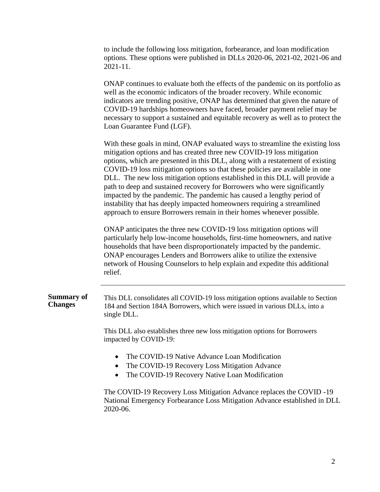to include the following loss mitigation, forbearance, and loan modification options. These options were published in DLLs 2020-06, 2021-02, 2021-06 and 2021-11.

ONAP continues to evaluate both the effects of the pandemic on its portfolio as well as the economic indicators of the broader recovery. While economic indicators are trending positive, ONAP has determined that given the nature of COVID-19 hardships homeowners have faced, broader payment relief may be necessary to support a sustained and equitable recovery as well as to protect the Loan Guarantee Fund (LGF).

With these goals in mind, ONAP evaluated ways to streamline the existing loss mitigation options and has created three new COVID-19 loss mitigation options, which are presented in this DLL, along with a restatement of existing COVID-19 loss mitigation options so that these policies are available in one DLL. The new loss mitigation options established in this DLL will provide a path to deep and sustained recovery for Borrowers who were significantly impacted by the pandemic. The pandemic has caused a lengthy period of instability that has deeply impacted homeowners requiring a streamlined approach to ensure Borrowers remain in their homes whenever possible.

ONAP anticipates the three new COVID-19 loss mitigation options will particularly help low-income households, first-time homeowners, and native households that have been disproportionately impacted by the pandemic. ONAP encourages Lenders and Borrowers alike to utilize the extensive network of Housing Counselors to help explain and expedite this additional relief.

#### **Summary of Changes** This DLL consolidates all COVID-19 loss mitigation options available to Section 184 and Section 184A Borrowers, which were issued in various DLLs, into a single DLL.

This DLL also establishes three new loss mitigation options for Borrowers impacted by COVID-19:

- The COVID-19 Native Advance Loan Modification
- The COVID-19 Recovery Loss Mitigation Advance
- The COVID-19 Recovery Native Loan Modification

The COVID-19 Recovery Loss Mitigation Advance replaces the COVID -19 National Emergency Forbearance Loss Mitigation Advance established in DLL 2020-06.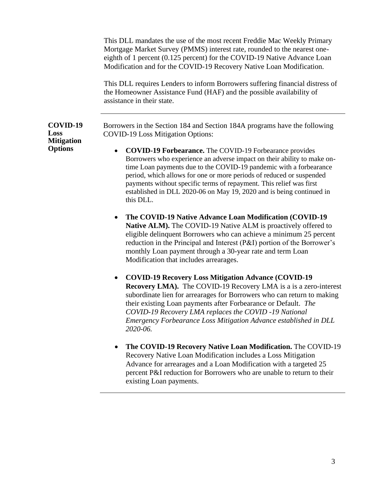|                                     | This DLL mandates the use of the most recent Freddie Mac Weekly Primary<br>Mortgage Market Survey (PMMS) interest rate, rounded to the nearest one-<br>eighth of 1 percent (0.125 percent) for the COVID-19 Native Advance Loan<br>Modification and for the COVID-19 Recovery Native Loan Modification.<br>This DLL requires Lenders to inform Borrowers suffering financial distress of<br>the Homeowner Assistance Fund (HAF) and the possible availability of<br>assistance in their state. |  |
|-------------------------------------|------------------------------------------------------------------------------------------------------------------------------------------------------------------------------------------------------------------------------------------------------------------------------------------------------------------------------------------------------------------------------------------------------------------------------------------------------------------------------------------------|--|
| COVID-19<br>Loss                    | Borrowers in the Section 184 and Section 184A programs have the following<br><b>COVID-19 Loss Mitigation Options:</b>                                                                                                                                                                                                                                                                                                                                                                          |  |
| <b>Mitigation</b><br><b>Options</b> | <b>COVID-19 Forbearance.</b> The COVID-19 Forbearance provides<br>$\bullet$<br>Borrowers who experience an adverse impact on their ability to make on-<br>time Loan payments due to the COVID-19 pandemic with a forbearance<br>period, which allows for one or more periods of reduced or suspended<br>payments without specific terms of repayment. This relief was first<br>established in DLL 2020-06 on May 19, 2020 and is being continued in<br>this DLL.                               |  |
|                                     | The COVID-19 Native Advance Loan Modification (COVID-19<br>$\bullet$<br>Native ALM). The COVID-19 Native ALM is proactively offered to<br>eligible delinquent Borrowers who can achieve a minimum 25 percent<br>reduction in the Principal and Interest (P&I) portion of the Borrower's<br>monthly Loan payment through a 30-year rate and term Loan<br>Modification that includes arrearages.                                                                                                 |  |
|                                     | <b>COVID-19 Recovery Loss Mitigation Advance (COVID-19)</b><br>$\bullet$<br><b>Recovery LMA).</b> The COVID-19 Recovery LMA is a is a zero-interest<br>subordinate lien for arrearages for Borrowers who can return to making<br>their existing Loan payments after Forbearance or Default. The<br>COVID-19 Recovery LMA replaces the COVID -19 National<br>Emergency Forbearance Loss Mitigation Advance established in DLL<br>2020-06.                                                       |  |

• **The COVID-19 Recovery Native Loan Modification.** The COVID-19 Recovery Native Loan Modification includes a Loss Mitigation Advance for arrearages and a Loan Modification with a targeted 25 percent P&I reduction for Borrowers who are unable to return to their existing Loan payments.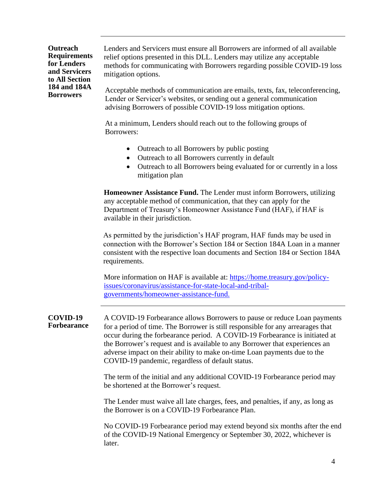**Outreach Requirements for Lenders and Servicers to All Section 184 and 184A Borrowers** 

Lenders and Servicers must ensure all Borrowers are informed of all available relief options presented in this DLL. Lenders may utilize any acceptable methods for communicating with Borrowers regarding possible COVID-19 loss mitigation options.

Acceptable methods of communication are emails, texts, fax, teleconferencing, Lender or Servicer's websites, or sending out a general communication advising Borrowers of possible COVID-19 loss mitigation options.

At a minimum, Lenders should reach out to the following groups of Borrowers:

- Outreach to all Borrowers by public posting
- Outreach to all Borrowers currently in default
- Outreach to all Borrowers being evaluated for or currently in a loss mitigation plan

**Homeowner Assistance Fund.** The Lender must inform Borrowers, utilizing any acceptable method of communication, that they can apply for the Department of Treasury's Homeowner Assistance Fund (HAF), if HAF is available in their jurisdiction.

As permitted by the jurisdiction's HAF program, HAF funds may be used in connection with the Borrower's Section 184 or Section 184A Loan in a manner consistent with the respective loan documents and Section 184 or Section 184A requirements.

More information on HAF is available at: [https://home.treasury.gov/policy](https://home.treasury.gov/policy-issues/coronavirus/assistance-for-state-local-and-tribal-governments/homeowner-assistance-fund)[issues/coronavirus/assistance-for-state-local-and-tribal](https://home.treasury.gov/policy-issues/coronavirus/assistance-for-state-local-and-tribal-governments/homeowner-assistance-fund)[governments/homeowner-assistance-fund.](https://home.treasury.gov/policy-issues/coronavirus/assistance-for-state-local-and-tribal-governments/homeowner-assistance-fund)

**COVID-19 Forbearance** A COVID-19 Forbearance allows Borrowers to pause or reduce Loan payments for a period of time. The Borrower is still responsible for any arrearages that occur during the forbearance period. A COVID-19 Forbearance is initiated at the Borrower's request and is available to any Borrower that experiences an adverse impact on their ability to make on-time Loan payments due to the COVID-19 pandemic, regardless of default status.

> The term of the initial and any additional COVID-19 Forbearance period may be shortened at the Borrower's request.

> The Lender must waive all late charges, fees, and penalties, if any, as long as the Borrower is on a COVID-19 Forbearance Plan.

No COVID-19 Forbearance period may extend beyond six months after the end of the COVID-19 National Emergency or September 30, 2022, whichever is later.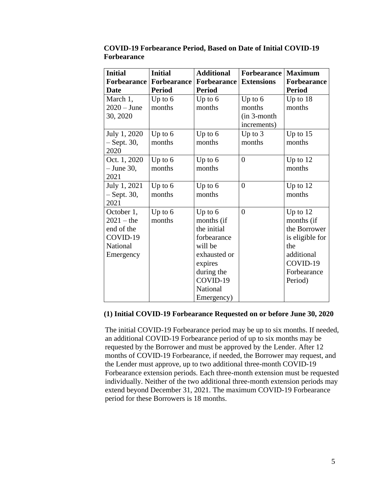| <b>Initial</b>     | <b>Initial</b> | <b>Additional</b>  | <b>Forbearance</b> | <b>Maximum</b>     |
|--------------------|----------------|--------------------|--------------------|--------------------|
| <b>Forbearance</b> | Forbearance    | <b>Forbearance</b> | <b>Extensions</b>  | <b>Forbearance</b> |
| Date               | <b>Period</b>  | <b>Period</b>      |                    | <b>Period</b>      |
| March 1,           | Up to $6$      | Up to $6$          | Up to $6$          | Up to $18$         |
| $2020 - June$      | months         | months             | months             | months             |
| 30, 2020           |                |                    | (in 3-month        |                    |
|                    |                |                    | increments)        |                    |
| July 1, 2020       | Up to $6$      | Up to $6$          | Up to $3$          | Up to $15$         |
| – Sept. 30,        | months         | months             | months             | months             |
| 2020               |                |                    |                    |                    |
| Oct. 1, 2020       | Up to $6$      | Up to $6$          | $\overline{0}$     | Up to 12           |
| $-$ June 30,       | months         | months             |                    | months             |
| 2021               |                |                    |                    |                    |
| July 1, 2021       | Up to $6$      | Up to $6$          | $\overline{0}$     | Up to $12$         |
| $-$ Sept. 30,      | months         | months             |                    | months             |
| 2021               |                |                    |                    |                    |
| October 1,         | Up to $6$      | Up to $6$          | $\overline{0}$     | Up to $12$         |
| $2021 -$ the       | months         | months (if         |                    | months (if         |
| end of the         |                | the initial        |                    | the Borrower       |
| COVID-19           |                | forbearance        |                    | is eligible for    |
| <b>National</b>    |                | will be            |                    | the                |
| Emergency          |                | exhausted or       |                    | additional         |
|                    |                | expires            |                    | COVID-19           |
|                    |                | during the         |                    | Forbearance        |
|                    |                | COVID-19           |                    | Period)            |
|                    |                | National           |                    |                    |
|                    |                | Emergency)         |                    |                    |

**COVID-19 Forbearance Period, Based on Date of Initial COVID-19 Forbearance**

#### **(1) Initial COVID-19 Forbearance Requested on or before June 30, 2020**

The initial COVID-19 Forbearance period may be up to six months. If needed, an additional COVID-19 Forbearance period of up to six months may be requested by the Borrower and must be approved by the Lender. After 12 months of COVID-19 Forbearance, if needed, the Borrower may request, and the Lender must approve, up to two additional three-month COVID-19 Forbearance extension periods. Each three-month extension must be requested individually. Neither of the two additional three-month extension periods may extend beyond December 31, 2021. The maximum COVID-19 Forbearance period for these Borrowers is 18 months.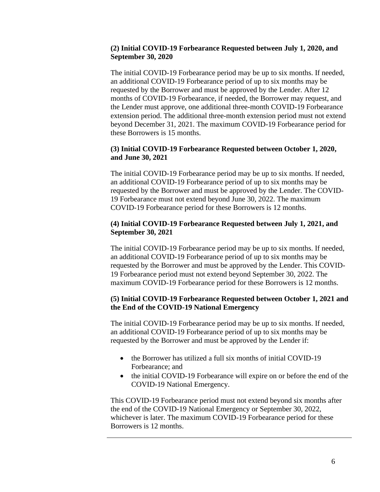## **(2) Initial COVID-19 Forbearance Requested between July 1, 2020, and September 30, 2020**

The initial COVID-19 Forbearance period may be up to six months. If needed, an additional COVID-19 Forbearance period of up to six months may be requested by the Borrower and must be approved by the Lender. After 12 months of COVID-19 Forbearance, if needed, the Borrower may request, and the Lender must approve, one additional three-month COVID-19 Forbearance extension period. The additional three-month extension period must not extend beyond December 31, 2021. The maximum COVID-19 Forbearance period for these Borrowers is 15 months.

## **(3) Initial COVID-19 Forbearance Requested between October 1, 2020, and June 30, 2021**

The initial COVID-19 Forbearance period may be up to six months. If needed, an additional COVID-19 Forbearance period of up to six months may be requested by the Borrower and must be approved by the Lender. The COVID-19 Forbearance must not extend beyond June 30, 2022. The maximum COVID-19 Forbearance period for these Borrowers is 12 months.

## **(4) Initial COVID-19 Forbearance Requested between July 1, 2021, and September 30, 2021**

The initial COVID-19 Forbearance period may be up to six months. If needed, an additional COVID-19 Forbearance period of up to six months may be requested by the Borrower and must be approved by the Lender. This COVID-19 Forbearance period must not extend beyond September 30, 2022. The maximum COVID-19 Forbearance period for these Borrowers is 12 months.

## **(5) Initial COVID-19 Forbearance Requested between October 1, 2021 and the End of the COVID-19 National Emergency**

The initial COVID-19 Forbearance period may be up to six months. If needed, an additional COVID-19 Forbearance period of up to six months may be requested by the Borrower and must be approved by the Lender if:

- the Borrower has utilized a full six months of initial COVID-19 Forbearance; and
- the initial COVID-19 Forbearance will expire on or before the end of the COVID-19 National Emergency.

This COVID-19 Forbearance period must not extend beyond six months after the end of the COVID-19 National Emergency or September 30, 2022, whichever is later. The maximum COVID-19 Forbearance period for these Borrowers is 12 months.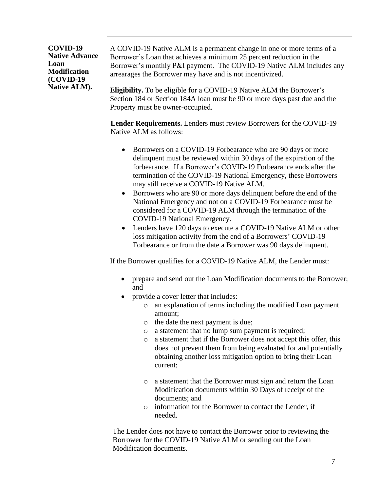#### **COVID-19 Native Advance Loan Modification (COVID-19 Native ALM).**

A COVID-19 Native ALM is a permanent change in one or more terms of a Borrower's Loan that achieves a minimum 25 percent reduction in the Borrower's monthly P&I payment. The COVID-19 Native ALM includes any arrearages the Borrower may have and is not incentivized.

**Eligibility.** To be eligible for a COVID-19 Native ALM the Borrower's Section 184 or Section 184A loan must be 90 or more days past due and the Property must be owner-occupied.

**Lender Requirements.** Lenders must review Borrowers for the COVID-19 Native ALM as follows:

- Borrowers on a COVID-19 Forbearance who are 90 days or more delinquent must be reviewed within 30 days of the expiration of the forbearance. If a Borrower's COVID-19 Forbearance ends after the termination of the COVID-19 National Emergency, these Borrowers may still receive a COVID-19 Native ALM.
- Borrowers who are 90 or more days delinquent before the end of the National Emergency and not on a COVID-19 Forbearance must be considered for a COVID-19 ALM through the termination of the COVID-19 National Emergency.
- Lenders have 120 days to execute a COVID-19 Native ALM or other loss mitigation activity from the end of a Borrowers' COVID-19 Forbearance or from the date a Borrower was 90 days delinquent.

If the Borrower qualifies for a COVID-19 Native ALM, the Lender must:

- prepare and send out the Loan Modification documents to the Borrower; and
- provide a cover letter that includes:
	- o an explanation of terms including the modified Loan payment amount;
	- o the date the next payment is due;
	- o a statement that no lump sum payment is required;
	- o a statement that if the Borrower does not accept this offer, this does not prevent them from being evaluated for and potentially obtaining another loss mitigation option to bring their Loan current;
	- o a statement that the Borrower must sign and return the Loan Modification documents within 30 Days of receipt of the documents; and
	- o information for the Borrower to contact the Lender, if needed.

The Lender does not have to contact the Borrower prior to reviewing the Borrower for the COVID-19 Native ALM or sending out the Loan Modification documents.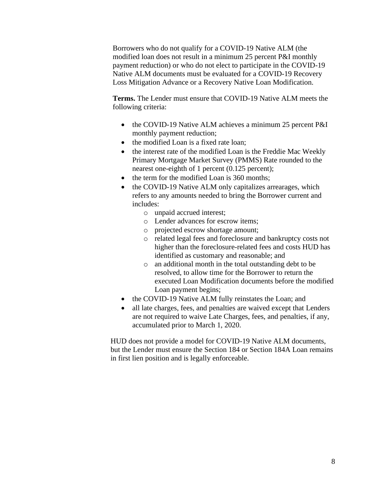Borrowers who do not qualify for a COVID-19 Native ALM (the modified loan does not result in a minimum 25 percent P&I monthly payment reduction) or who do not elect to participate in the COVID-19 Native ALM documents must be evaluated for a COVID-19 Recovery Loss Mitigation Advance or a Recovery Native Loan Modification.

**Terms.** The Lender must ensure that COVID-19 Native ALM meets the following criteria:

- the COVID-19 Native ALM achieves a minimum 25 percent P&I monthly payment reduction;
- the modified Loan is a fixed rate loan:
- the interest rate of the modified Loan is the Freddie Mac Weekly Primary Mortgage Market Survey (PMMS) Rate rounded to the nearest one-eighth of 1 percent (0.125 percent);
- the term for the modified Loan is 360 months;
- the COVID-19 Native ALM only capitalizes arrearages, which refers to any amounts needed to bring the Borrower current and includes:
	- o unpaid accrued interest;
	- o Lender advances for escrow items;
	- o projected escrow shortage amount;
	- o related legal fees and foreclosure and bankruptcy costs not higher than the foreclosure-related fees and costs HUD has identified as customary and reasonable; and
	- o an additional month in the total outstanding debt to be resolved, to allow time for the Borrower to return the executed Loan Modification documents before the modified Loan payment begins;
- the COVID-19 Native ALM fully reinstates the Loan; and
- all late charges, fees, and penalties are waived except that Lenders are not required to waive Late Charges, fees, and penalties, if any, accumulated prior to March 1, 2020.

HUD does not provide a model for COVID-19 Native ALM documents, but the Lender must ensure the Section 184 or Section 184A Loan remains in first lien position and is legally enforceable.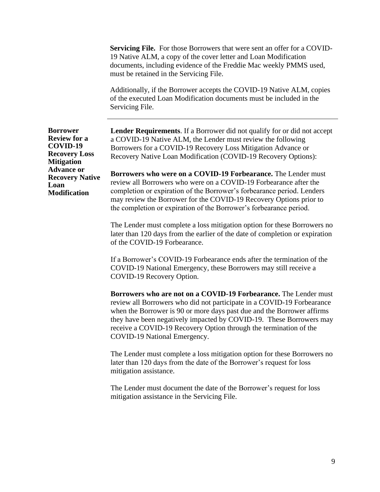**Servicing File.** For those Borrowers that were sent an offer for a COVID-19 Native ALM, a copy of the cover letter and Loan Modification documents, including evidence of the Freddie Mac weekly PMMS used, must be retained in the Servicing File.

Additionally, if the Borrower accepts the COVID-19 Native ALM, copies of the executed Loan Modification documents must be included in the Servicing File.

**Borrower Review for a COVID-19 Recovery Loss Mitigation Advance or Recovery Native Loan Modification**

**Lender Requirements**. If a Borrower did not qualify for or did not accept a COVID-19 Native ALM, the Lender must review the following Borrowers for a COVID-19 Recovery Loss Mitigation Advance or Recovery Native Loan Modification (COVID-19 Recovery Options):

**Borrowers who were on a COVID-19 Forbearance.** The Lender must review all Borrowers who were on a COVID-19 Forbearance after the completion or expiration of the Borrower's forbearance period. Lenders may review the Borrower for the COVID-19 Recovery Options prior to the completion or expiration of the Borrower's forbearance period.

The Lender must complete a loss mitigation option for these Borrowers no later than 120 days from the earlier of the date of completion or expiration of the COVID-19 Forbearance.

If a Borrower's COVID-19 Forbearance ends after the termination of the COVID-19 National Emergency, these Borrowers may still receive a COVID-19 Recovery Option.

**Borrowers who are not on a COVID-19 Forbearance.** The Lender must review all Borrowers who did not participate in a COVID-19 Forbearance when the Borrower is 90 or more days past due and the Borrower affirms they have been negatively impacted by COVID-19. These Borrowers may receive a COVID-19 Recovery Option through the termination of the COVID-19 National Emergency.

The Lender must complete a loss mitigation option for these Borrowers no later than 120 days from the date of the Borrower's request for loss mitigation assistance.

The Lender must document the date of the Borrower's request for loss mitigation assistance in the Servicing File.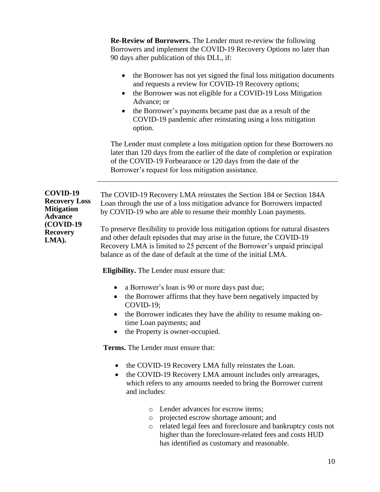**Re-Review of Borrowers.** The Lender must re-review the following Borrowers and implement the COVID-19 Recovery Options no later than 90 days after publication of this DLL, if:

- the Borrower has not yet signed the final loss mitigation documents and requests a review for COVID-19 Recovery options;
- the Borrower was not eligible for a COVID-19 Loss Mitigation Advance; or
- the Borrower's payments became past due as a result of the COVID-19 pandemic after reinstating using a loss mitigation option.

The Lender must complete a loss mitigation option for these Borrowers no later than 120 days from the earlier of the date of completion or expiration of the COVID-19 Forbearance or 120 days from the date of the Borrower's request for loss mitigation assistance.

**COVID-19 Recovery Loss Mitigation Advance (COVID-19 Recovery LMA).**

The COVID-19 Recovery LMA reinstates the Section 184 or Section 184A Loan through the use of a loss mitigation advance for Borrowers impacted by COVID-19 who are able to resume their monthly Loan payments.

To preserve flexibility to provide loss mitigation options for natural disasters and other default episodes that may arise in the future, the COVID-19 Recovery LMA is limited to 25 percent of the Borrower's unpaid principal balance as of the date of default at the time of the initial LMA.

**Eligibility.** The Lender must ensure that:

- a Borrower's loan is 90 or more days past due;
- the Borrower affirms that they have been negatively impacted by COVID-19;
- the Borrower indicates they have the ability to resume making ontime Loan payments; and
- the Property is owner-occupied.

**Terms.** The Lender must ensure that:

- the COVID-19 Recovery LMA fully reinstates the Loan.
- the COVID-19 Recovery LMA amount includes only arrearages, which refers to any amounts needed to bring the Borrower current and includes:
	- o Lender advances for escrow items;
	- o projected escrow shortage amount; and
	- o related legal fees and foreclosure and bankruptcy costs not higher than the foreclosure-related fees and costs HUD has identified as customary and reasonable.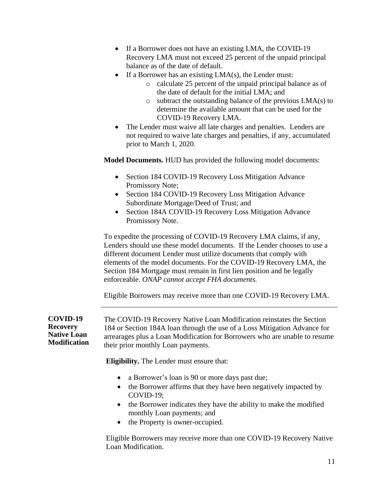- If a Borrower does not have an existing LMA, the COVID-19 Recovery LMA must not exceed 25 percent of the unpaid principal balance as of the date of default.
- If a Borrower has an existing  $LMA(s)$ , the Lender must:
	- o calculate 25 percent of the unpaid principal balance as of the date of default for the initial LMA; and
	- o subtract the outstanding balance of the previous LMA(s) to determine the available amount that can be used for the COVID-19 Recovery LMA.
- The Lender must waive all late charges and penalties. Lenders are not required to waive late charges and penalties, if any, accumulated prior to March 1, 2020.

**Model Documents.** HUD has provided the following model documents:

- Section 184 COVID-19 Recovery Loss Mitigation Advance Promissory Note;
- Section 184 COVID-19 Recovery Loss Mitigation Advance Subordinate Mortgage/Deed of Trust; and
- Section 184A COVID-19 Recovery Loss Mitigation Advance Promissory Note.

To expedite the processing of COVID-19 Recovery LMA claims, if any, Lenders should use these model documents. If the Lender chooses to use a different document Lender must utilize documents that comply with elements of the model documents. For the COVID-19 Recovery LMA, the Section 184 Mortgage must remain in first lien position and be legally enforceable. *ONAP cannot accept FHA documents.*

Eligible Borrowers may receive more than one COVID-19 Recovery LMA.

**COVID-19 Recovery Native Loan Modification** The COVID-19 Recovery Native Loan Modification reinstates the Section 184 or Section 184A loan through the use of a Loss Mitigation Advance for arrearages plus a Loan Modification for Borrowers who are unable to resume their prior monthly Loan payments.

**Eligibility.** The Lender must ensure that:

- a Borrower's loan is 90 or more days past due;
- the Borrower affirms that they have been negatively impacted by COVID-19;
- the Borrower indicates they have the ability to make the modified monthly Loan payments; and
- the Property is owner-occupied.

Eligible Borrowers may receive more than one COVID-19 Recovery Native Loan Modification.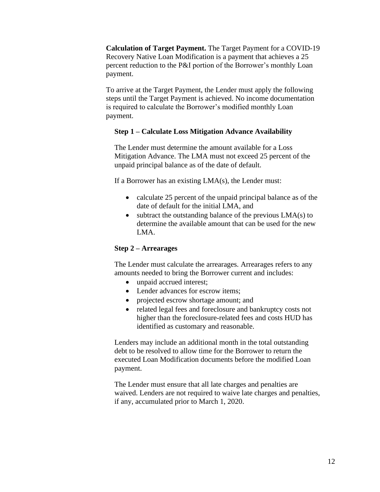**Calculation of Target Payment.** The Target Payment for a COVID-19 Recovery Native Loan Modification is a payment that achieves a 25 percent reduction to the P&I portion of the Borrower's monthly Loan payment.

To arrive at the Target Payment, the Lender must apply the following steps until the Target Payment is achieved. No income documentation is required to calculate the Borrower's modified monthly Loan payment.

## **Step 1 – Calculate Loss Mitigation Advance Availability**

The Lender must determine the amount available for a Loss Mitigation Advance. The LMA must not exceed 25 percent of the unpaid principal balance as of the date of default.

If a Borrower has an existing LMA(s), the Lender must:

- calculate 25 percent of the unpaid principal balance as of the date of default for the initial LMA, and
- subtract the outstanding balance of the previous LMA(s) to determine the available amount that can be used for the new LMA.

# **Step 2 – Arrearages**

The Lender must calculate the arrearages. Arrearages refers to any amounts needed to bring the Borrower current and includes:

- unpaid accrued interest:
- Lender advances for escrow items:
- projected escrow shortage amount; and
- related legal fees and foreclosure and bankruptcy costs not higher than the foreclosure-related fees and costs HUD has identified as customary and reasonable.

Lenders may include an additional month in the total outstanding debt to be resolved to allow time for the Borrower to return the executed Loan Modification documents before the modified Loan payment.

The Lender must ensure that all late charges and penalties are waived. Lenders are not required to waive late charges and penalties, if any, accumulated prior to March 1, 2020.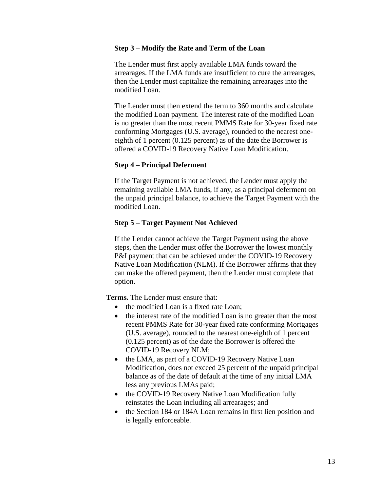#### **Step 3 – Modify the Rate and Term of the Loan**

The Lender must first apply available LMA funds toward the arrearages. If the LMA funds are insufficient to cure the arrearages, then the Lender must capitalize the remaining arrearages into the modified Loan.

The Lender must then extend the term to 360 months and calculate the modified Loan payment. The interest rate of the modified Loan is no greater than the most recent PMMS Rate for 30-year fixed rate conforming Mortgages (U.S. average), rounded to the nearest oneeighth of 1 percent (0.125 percent) as of the date the Borrower is offered a COVID-19 Recovery Native Loan Modification.

#### **Step 4 – Principal Deferment**

If the Target Payment is not achieved, the Lender must apply the remaining available LMA funds, if any, as a principal deferment on the unpaid principal balance, to achieve the Target Payment with the modified Loan.

#### **Step 5 – Target Payment Not Achieved**

If the Lender cannot achieve the Target Payment using the above steps, then the Lender must offer the Borrower the lowest monthly P&I payment that can be achieved under the COVID-19 Recovery Native Loan Modification (NLM). If the Borrower affirms that they can make the offered payment, then the Lender must complete that option.

**Terms.** The Lender must ensure that:

- the modified Loan is a fixed rate Loan;
- the interest rate of the modified Loan is no greater than the most recent PMMS Rate for 30-year fixed rate conforming Mortgages (U.S. average), rounded to the nearest one-eighth of 1 percent (0.125 percent) as of the date the Borrower is offered the COVID-19 Recovery NLM;
- the LMA, as part of a COVID-19 Recovery Native Loan Modification, does not exceed 25 percent of the unpaid principal balance as of the date of default at the time of any initial LMA less any previous LMAs paid;
- the COVID-19 Recovery Native Loan Modification fully reinstates the Loan including all arrearages; and
- the Section 184 or 184A Loan remains in first lien position and is legally enforceable.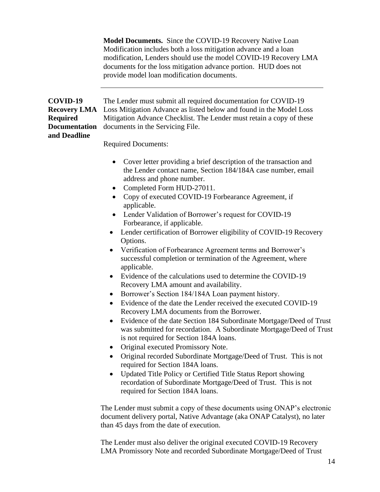**Model Documents.** Since the COVID-19 Recovery Native Loan Modification includes both a loss mitigation advance and a loan modification, Lenders should use the model COVID-19 Recovery LMA documents for the loss mitigation advance portion. HUD does not provide model loan modification documents.

| COVID-19<br><b>Recovery LMA</b><br><b>Required</b><br><b>Documentation</b><br>and Deadline | The Lender must submit all required documentation for COVID-19<br>Loss Mitigation Advance as listed below and found in the Model Loss<br>Mitigation Advance Checklist. The Lender must retain a copy of these<br>documents in the Servicing File.                                                                                                                                                                                                                                                                                                                                                                                                                                                                                                                                                                                                                                                                                                                                                                                                                                                                                                                                                                                                                                                                                                                                                                                                                                         |  |  |  |
|--------------------------------------------------------------------------------------------|-------------------------------------------------------------------------------------------------------------------------------------------------------------------------------------------------------------------------------------------------------------------------------------------------------------------------------------------------------------------------------------------------------------------------------------------------------------------------------------------------------------------------------------------------------------------------------------------------------------------------------------------------------------------------------------------------------------------------------------------------------------------------------------------------------------------------------------------------------------------------------------------------------------------------------------------------------------------------------------------------------------------------------------------------------------------------------------------------------------------------------------------------------------------------------------------------------------------------------------------------------------------------------------------------------------------------------------------------------------------------------------------------------------------------------------------------------------------------------------------|--|--|--|
|                                                                                            | <b>Required Documents:</b>                                                                                                                                                                                                                                                                                                                                                                                                                                                                                                                                                                                                                                                                                                                                                                                                                                                                                                                                                                                                                                                                                                                                                                                                                                                                                                                                                                                                                                                                |  |  |  |
|                                                                                            | Cover letter providing a brief description of the transaction and<br>$\bullet$<br>the Lender contact name, Section 184/184A case number, email<br>address and phone number.<br>Completed Form HUD-27011.<br>$\bullet$<br>Copy of executed COVID-19 Forbearance Agreement, if<br>applicable.<br>Lender Validation of Borrower's request for COVID-19<br>Forbearance, if applicable.<br>Lender certification of Borrower eligibility of COVID-19 Recovery<br>$\bullet$<br>Options.<br>Verification of Forbearance Agreement terms and Borrower's<br>$\bullet$<br>successful completion or termination of the Agreement, where<br>applicable.<br>Evidence of the calculations used to determine the COVID-19<br>$\bullet$<br>Recovery LMA amount and availability.<br>Borrower's Section 184/184A Loan payment history.<br>Evidence of the date the Lender received the executed COVID-19<br>$\bullet$<br>Recovery LMA documents from the Borrower.<br>Evidence of the date Section 184 Subordinate Mortgage/Deed of Trust<br>$\bullet$<br>was submitted for recordation. A Subordinate Mortgage/Deed of Trust<br>is not required for Section 184A loans.<br>Original executed Promissory Note.<br>Original recorded Subordinate Mortgage/Deed of Trust. This is not<br>$\bullet$<br>required for Section 184A loans.<br>Updated Title Policy or Certified Title Status Report showing<br>recordation of Subordinate Mortgage/Deed of Trust. This is not<br>required for Section 184A loans. |  |  |  |
|                                                                                            | The Lender must submit a copy of these documents using ONAP's electronic<br>document delivery portal, Native Advantage (aka ONAP Catalyst), no later<br>than 45 days from the date of execution.                                                                                                                                                                                                                                                                                                                                                                                                                                                                                                                                                                                                                                                                                                                                                                                                                                                                                                                                                                                                                                                                                                                                                                                                                                                                                          |  |  |  |

The Lender must also deliver the original executed COVID-19 Recovery LMA Promissory Note and recorded Subordinate Mortgage/Deed of Trust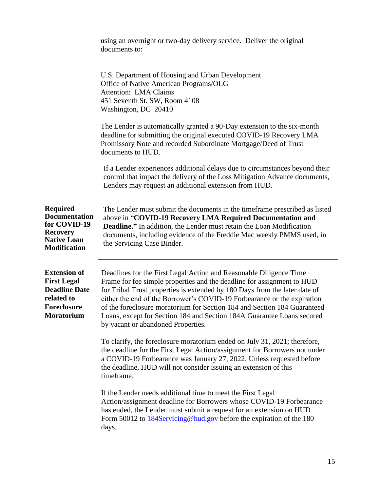|                                                                                                                            | using an overnight or two-day delivery service. Deliver the original<br>documents to:                                                                                                                                                                                                                                                                                                                                                                                                             |  |  |
|----------------------------------------------------------------------------------------------------------------------------|---------------------------------------------------------------------------------------------------------------------------------------------------------------------------------------------------------------------------------------------------------------------------------------------------------------------------------------------------------------------------------------------------------------------------------------------------------------------------------------------------|--|--|
|                                                                                                                            | U.S. Department of Housing and Urban Development<br>Office of Native American Programs/OLG<br><b>Attention: LMA Claims</b><br>451 Seventh St. SW, Room 4108<br>Washington, DC 20410                                                                                                                                                                                                                                                                                                               |  |  |
|                                                                                                                            | The Lender is automatically granted a 90-Day extension to the six-month<br>deadline for submitting the original executed COVID-19 Recovery LMA<br>Promissory Note and recorded Subordinate Mortgage/Deed of Trust<br>documents to HUD.                                                                                                                                                                                                                                                            |  |  |
|                                                                                                                            | If a Lender experiences additional delays due to circumstances beyond their<br>control that impact the delivery of the Loss Mitigation Advance documents,<br>Lenders may request an additional extension from HUD.                                                                                                                                                                                                                                                                                |  |  |
| <b>Required</b><br><b>Documentation</b><br>for COVID-19<br><b>Recovery</b><br><b>Native Loan</b><br><b>Modification</b>    | The Lender must submit the documents in the time frame prescribed as listed<br>above in "COVID-19 Recovery LMA Required Documentation and<br><b>Deadline.</b> " In addition, the Lender must retain the Loan Modification<br>documents, including evidence of the Freddie Mac weekly PMMS used, in<br>the Servicing Case Binder.                                                                                                                                                                  |  |  |
| <b>Extension of</b><br><b>First Legal</b><br><b>Deadline Date</b><br>related to<br><b>Foreclosure</b><br><b>Moratorium</b> | Deadlines for the First Legal Action and Reasonable Diligence Time<br>Frame for fee simple properties and the deadline for assignment to HUD<br>for Tribal Trust properties is extended by 180 Days from the later date of<br>either the end of the Borrower's COVID-19 Forbearance or the expiration<br>of the foreclosure moratorium for Section 184 and Section 184 Guaranteed<br>Loans, except for Section 184 and Section 184A Guarantee Loans secured<br>by vacant or abandoned Properties. |  |  |
|                                                                                                                            | To clarify, the foreclosure moratorium ended on July 31, 2021; therefore,<br>the deadline for the First Legal Action/assignment for Borrowers not under<br>a COVID-19 Forbearance was January 27, 2022. Unless requested before<br>the deadline, HUD will not consider issuing an extension of this<br>timeframe.                                                                                                                                                                                 |  |  |
|                                                                                                                            | If the Lender needs additional time to meet the First Legal<br>Action/assignment deadline for Borrowers whose COVID-19 Forbearance<br>has ended, the Lender must submit a request for an extension on HUD<br>Form 50012 to 184Servicing@hud.gov before the expiration of the 180<br>days.                                                                                                                                                                                                         |  |  |